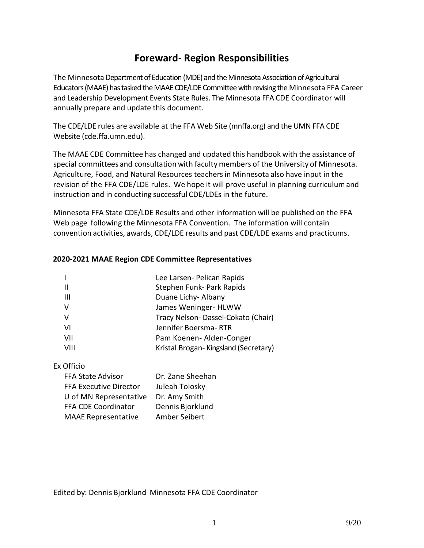## **Foreward- Region Responsibilities**

The Minnesota Department of Education (MDE) and the Minnesota Association of Agricultural Educators (MAAE) has tasked the MAAE CDE/LDE Committee with revising the Minnesota FFA Career and Leadership Development Events State Rules. The Minnesota FFA CDE Coordinator will annually prepare and update this document.

The CDE/LDE rules are available at the FFA Web Site (mnffa.org) and the UMN FFA CDE Websit[e \(cde.ffa.umn.edu\).](http://cde.ffa.umn.edu/Web/CDEbooklet.htm) 

The MAAE CDE Committee has changed and updated this handbook with the assistance of special committees and consultation with faculty members of the University of Minnesota. Agriculture, Food, and Natural Resources teachersin Minnesota also have input in the revision of the FFA CDE/LDE rules. We hope it will prove useful in planning curriculumand instruction and in conducting successful CDE/LDEs in the future.

Minnesota FFA State CDE/LDE Results and other information will be published on the FFA Web page following the Minnesota FFA Convention. The information will contain convention activities, awards, CDE/LDE results and past CDE/LDE exams and practicums.

### **2020-2021 MAAE Region CDE Committee Representatives**

|      | Lee Larsen- Pelican Rapids           |
|------|--------------------------------------|
| H    | Stephen Funk- Park Rapids            |
| -III | Duane Lichy- Albany                  |
| -V   | James Weninger- HLWW                 |
| V    | Tracy Nelson-Dassel-Cokato (Chair)   |
| VI   | Jennifer Boersma-RTR                 |
| VII  | Pam Koenen-Alden-Conger              |
| VIII | Kristal Brogan-Kingsland (Secretary) |
|      |                                      |

### Ex Officio

| FFA State Advisor          | Dr. Zane Sheehan |  |
|----------------------------|------------------|--|
| FFA Executive Director     | Juleah Tolosky   |  |
| U of MN Representative     | Dr. Amy Smith    |  |
| FFA CDE Coordinator        | Dennis Bjorklund |  |
| <b>MAAE Representative</b> | Amber Seibert    |  |

Edited by: Dennis Bjorklund Minnesota FFA CDE Coordinator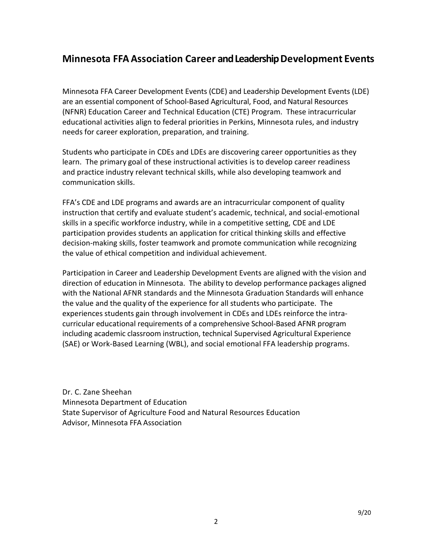## **Minnesota FFA Association Career and Leadership Development Events**

Minnesota FFA Career Development Events (CDE) and Leadership Development Events (LDE) are an essential component of School-Based Agricultural, Food, and Natural Resources (NFNR) Education Career and Technical Education (CTE) Program. These intracurricular educational activities align to federal priorities in Perkins, Minnesota rules, and industry needs for career exploration, preparation, and training.

Students who participate in CDEs and LDEs are discovering career opportunities as they learn. The primary goal of these instructional activities is to develop career readiness and practice industry relevant technical skills, while also developing teamwork and communication skills.

FFA's CDE and LDE programs and awards are an intracurricular component of quality instruction that certify and evaluate student's academic, technical, and social-emotional skills in a specific workforce industry, while in a competitive setting, CDE and LDE participation provides students an application for critical thinking skills and effective decision-making skills, foster teamwork and promote communication while recognizing the value of ethical competition and individual achievement.

Participation in Career and Leadership Development Events are aligned with the vision and direction of education in Minnesota. The ability to develop performance packages aligned with the National AFNR standards and the Minnesota Graduation Standards will enhance the value and the quality of the experience for all students who participate. The experiences students gain through involvement in CDEs and LDEs reinforce the intracurricular educational requirements of a comprehensive School-Based AFNR program including academic classroom instruction, technical Supervised Agricultural Experience (SAE) or Work-Based Learning (WBL), and social emotional FFA leadership programs.

Dr. C. Zane Sheehan Minnesota Department of Education State Supervisor of Agriculture Food and Natural Resources Education Advisor, Minnesota FFA Association